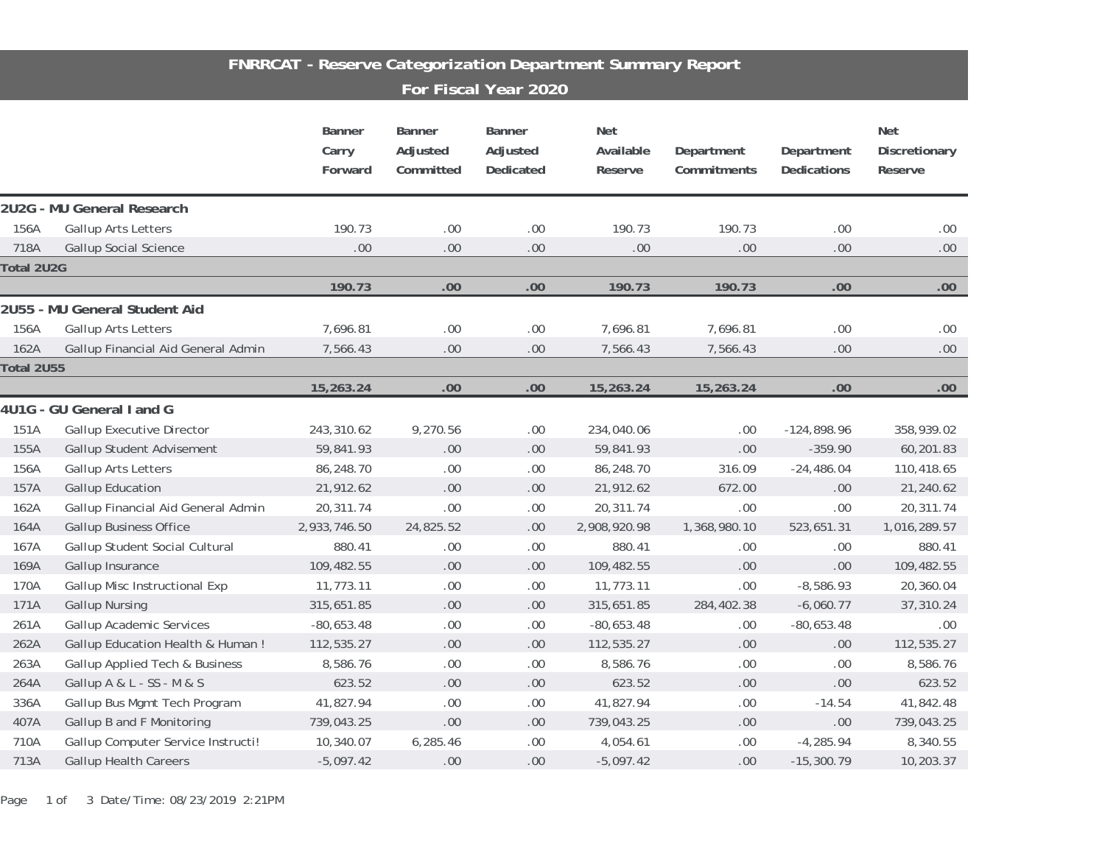## *FNRRCAT - Reserve Categorization Department Summary Report For Fiscal Year 2020*

|            |                                    | Banner<br>Carry<br>Forward | Banner<br>Adjusted<br>Committed | Banner<br>Adjusted<br>Dedicated | Net<br>Available<br>Reserve | Department<br>Commitments | Department<br>Dedications | Net<br>Discretionary<br>Reserve |
|------------|------------------------------------|----------------------------|---------------------------------|---------------------------------|-----------------------------|---------------------------|---------------------------|---------------------------------|
|            | 2U2G - MU General Research         |                            |                                 |                                 |                             |                           |                           |                                 |
| 156A       | Gallup Arts Letters                | 190.73                     | .00                             | $.00\,$                         | 190.73                      | 190.73                    | .00                       | .00.                            |
| 718A       | <b>Gallup Social Science</b>       | .00                        | .00                             | .00                             | $.00$                       | .00                       | .00                       | $.00.$                          |
| Total 2U2G |                                    |                            |                                 |                                 |                             |                           |                           |                                 |
|            |                                    | 190.73                     | .00                             | .00                             | 190.73                      | 190.73                    | .00                       | .00                             |
|            | 2U55 - MU General Student Aid      |                            |                                 |                                 |                             |                           |                           |                                 |
| 156A       | Gallup Arts Letters                | 7,696.81                   | .00                             | .00                             | 7,696.81                    | 7,696.81                  | .00.                      | .00.                            |
| 162A       | Gallup Financial Aid General Admin | 7,566.43                   | .00                             | $.00$                           | 7,566.43                    | 7,566.43                  | .00                       | .00.                            |
| Total 2U55 |                                    |                            |                                 |                                 |                             |                           |                           |                                 |
|            |                                    | 15,263.24                  | .00                             | .00                             | 15,263.24                   | 15,263.24                 | .00                       | .00                             |
|            | 4U1G - GU General I and G          |                            |                                 |                                 |                             |                           |                           |                                 |
| 151A       | <b>Gallup Executive Director</b>   | 243,310.62                 | 9,270.56                        | .00.                            | 234,040.06                  | .00                       | $-124,898.96$             | 358,939.02                      |
| 155A       | Gallup Student Advisement          | 59,841.93                  | $.00 \,$                        | .00                             | 59,841.93                   | $.00 \,$                  | $-359.90$                 | 60,201.83                       |
| 156A       | Gallup Arts Letters                | 86,248.70                  | .00                             | .00                             | 86,248.70                   | 316.09                    | $-24,486.04$              | 110,418.65                      |
| 157A       | Gallup Education                   | 21,912.62                  | $.00 \,$                        | $.00 \,$                        | 21,912.62                   | 672.00                    | .00                       | 21,240.62                       |
| 162A       | Gallup Financial Aid General Admin | 20,311.74                  | .00                             | $.00$                           | 20,311.74                   | .00                       | .00                       | 20,311.74                       |
| 164A       | <b>Gallup Business Office</b>      | 2,933,746.50               | 24,825.52                       | .00                             | 2,908,920.98                | 1,368,980.10              | 523,651.31                | 1,016,289.57                    |
| 167A       | Gallup Student Social Cultural     | 880.41                     | .00                             | .00.                            | 880.41                      | .00.                      | .00                       | 880.41                          |
| 169A       | Gallup Insurance                   | 109,482.55                 | .00                             | .00                             | 109,482.55                  | .00.                      | .00                       | 109,482.55                      |
| 170A       | Gallup Misc Instructional Exp      | 11,773.11                  | .00                             | $.00$                           | 11,773.11                   | .00                       | $-8,586.93$               | 20,360.04                       |
| 171A       | <b>Gallup Nursing</b>              | 315,651.85                 | $.00$                           | .00                             | 315,651.85                  | 284,402.38                | $-6,060.77$               | 37,310.24                       |
| 261A       | <b>Gallup Academic Services</b>    | $-80,653.48$               | .00                             | .00                             | $-80,653.48$                | .00                       | $-80,653.48$              | .00.                            |
| 262A       | Gallup Education Health & Human!   | 112,535.27                 | $.00\,$                         | $.00 \,$                        | 112,535.27                  | $.00 \,$                  | .00                       | 112,535.27                      |
| 263A       | Gallup Applied Tech & Business     | 8,586.76                   | .00                             | $.00$                           | 8,586.76                    | $.00 \,$                  | .00                       | 8,586.76                        |
| 264A       | Gallup A & L - SS - M & S          | 623.52                     | $.00$                           | $.00$                           | 623.52                      | .00.                      | .00                       | 623.52                          |
| 336A       | Gallup Bus Mgmt Tech Program       | 41,827.94                  | .00                             | $.00$                           | 41,827.94                   | $.00 \,$                  | $-14.54$                  | 41,842.48                       |
| 407A       | Gallup B and F Monitoring          | 739,043.25                 | $.00$                           | $.00\,$                         | 739,043.25                  | $.00 \,$                  | .00                       | 739,043.25                      |
| 710A       | Gallup Computer Service Instructi! | 10,340.07                  | 6,285.46                        | .00                             | 4,054.61                    | .00                       | $-4,285.94$               | 8,340.55                        |
| 713A       | <b>Gallup Health Careers</b>       | $-5,097.42$                | .00                             | .00.                            | $-5,097.42$                 | .00                       | $-15,300.79$              | 10,203.37                       |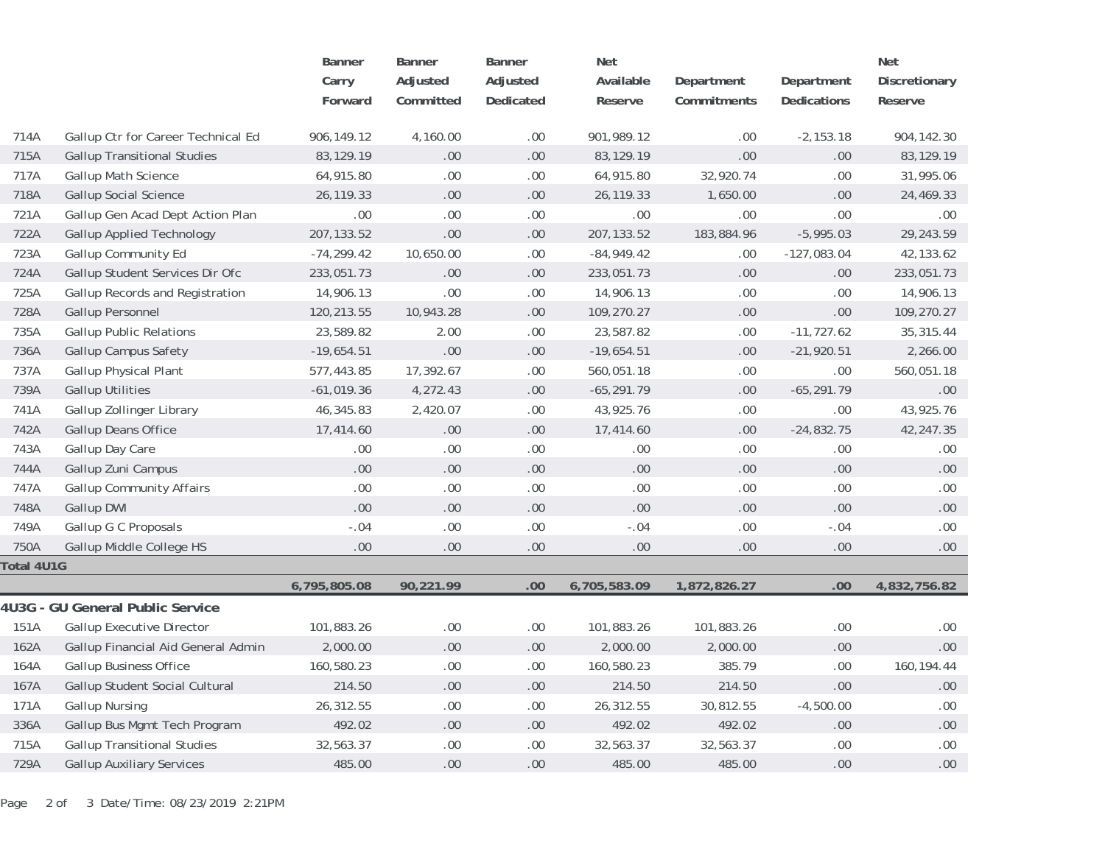|            |                                    | Banner        | Banner    | Banner    | Net           |              |               | Net           |
|------------|------------------------------------|---------------|-----------|-----------|---------------|--------------|---------------|---------------|
|            |                                    | Carry         | Adjusted  | Adjusted  | Available     | Department   | Department    | Discretionary |
|            |                                    | Forward       | Committed | Dedicated | Reserve       | Commitments  | Dedications   | Reserve       |
|            |                                    |               |           |           |               |              |               |               |
| 714A       | Gallup Ctr for Career Technical Ed | 906,149.12    | 4,160.00  | .00       | 901,989.12    | .00.         | $-2,153.18$   | 904, 142. 30  |
| 715A       | <b>Gallup Transitional Studies</b> | 83,129.19     | .00       | .00       | 83,129.19     | .00          | .00           | 83, 129. 19   |
| 717A       | Gallup Math Science                | 64,915.80     | .00       | .00       | 64,915.80     | 32,920.74    | .00           | 31,995.06     |
| 718A       | <b>Gallup Social Science</b>       | 26, 119. 33   | .00       | .00       | 26, 119. 33   | 1,650.00     | .00           | 24,469.33     |
| 721A       | Gallup Gen Acad Dept Action Plan   | $.00$         | .00       | .00       | .00.          | .00          | .00           | .00.          |
| 722A       | <b>Gallup Applied Technology</b>   | 207, 133.52   | .00       | .00       | 207, 133.52   | 183,884.96   | $-5,995.03$   | 29, 243.59    |
| 723A       | Gallup Community Ed                | $-74, 299.42$ | 10,650.00 | .00       | $-84,949.42$  | .00          | $-127,083.04$ | 42, 133.62    |
| 724A       | Gallup Student Services Dir Ofc    | 233,051.73    | .00       | .00       | 233,051.73    | 00.          | .00.          | 233,051.73    |
| 725A       | Gallup Records and Registration    | 14,906.13     | .00       | .00       | 14,906.13     | .00.         | .00           | 14,906.13     |
| 728A       | Gallup Personnel                   | 120,213.55    | 10,943.28 | .00       | 109,270.27    | .00          | .00.          | 109,270.27    |
| 735A       | <b>Gallup Public Relations</b>     | 23,589.82     | 2.00      | .00       | 23,587.82     | .00.         | $-11,727.62$  | 35, 315.44    |
| 736A       | Gallup Campus Safety               | $-19,654.51$  | .00       | .00       | $-19,654.51$  | 00.          | $-21,920.51$  | 2,266.00      |
| 737A       | Gallup Physical Plant              | 577,443.85    | 17,392.67 | .00       | 560,051.18    | .00.         | .00           | 560,051.18    |
| 739A       | <b>Gallup Utilities</b>            | $-61,019.36$  | 4,272.43  | .00       | $-65, 291.79$ | 00.          | $-65, 291.79$ | .00.          |
| 741A       | Gallup Zollinger Library           | 46,345.83     | 2,420.07  | .00       | 43,925.76     | .00.         | .00           | 43,925.76     |
| 742A       | Gallup Deans Office                | 17,414.60     | .00.      | .00       | 17,414.60     | 00.          | $-24,832.75$  | 42, 247.35    |
| 743A       | Gallup Day Care                    | $.00\,$       | .00       | .00       | .00           | .00.         | .00           | $.00 \,$      |
| 744A       | Gallup Zuni Campus                 | .00           | .00       | .00       | .00           | .00          | .00.          | .00.          |
| 747A       | <b>Gallup Community Affairs</b>    | $.00\,$       | $.00 \,$  | .00       | $.00.$        | .00.         | .00           | .00           |
| 748A       | Gallup DWI                         | .00           | .00       | .00       | .00           | .00          | .00           | .00.          |
| 749A       | Gallup G C Proposals               | $-.04$        | $.00 \,$  | .00       | $-.04$        | .00.         | $-.04$        | .00.          |
| 750A       | Gallup Middle College HS           | .00           | $.00\,$   | $.00$     | $.00 \,$      | .00          | .00.          | .00           |
| Total 4U1G |                                    |               |           |           |               |              |               |               |
|            |                                    | 6,795,805.08  | 90,221.99 | .00       | 6,705,583.09  | 1,872,826.27 | $00\,$        | 4,832,756.82  |
|            | 4U3G - GU General Public Service   |               |           |           |               |              |               |               |
| 151A       | <b>Gallup Executive Director</b>   | 101,883.26    | $.00\,$   | $.00$     | 101,883.26    | 101,883.26   | $.00$         | $.00 \,$      |
| 162A       | Gallup Financial Aid General Admin | 2,000.00      | $.00\,$   | $.00$     | 2,000.00      | 2,000.00     | .00           | .00           |
| 164A       | <b>Gallup Business Office</b>      | 160,580.23    | $.00\,$   | $.00$     | 160,580.23    | 385.79       | $.00$         | 160, 194.44   |
| 167A       | Gallup Student Social Cultural     | 214.50        | $.00\,$   | $.00 \,$  | 214.50        | 214.50       | .00           | .00.          |
| 171A       | <b>Gallup Nursing</b>              | 26,312.55     | .00       | $.00$     | 26,312.55     | 30,812.55    | $-4,500.00$   | .00.          |
| 336A       | Gallup Bus Mgmt Tech Program       | 492.02        | $.00\,$   | $.00 \,$  | 492.02        | 492.02       | .00.          | .00.          |
| 715A       | <b>Gallup Transitional Studies</b> | 32,563.37     | $.00\,$   | $.00$     | 32,563.37     | 32,563.37    | .00           | .00.          |
| 729A       | <b>Gallup Auxiliary Services</b>   | 485.00        | .00       | .00       | 485.00        | 485.00       | .00.          | 00.           |

Page 2 of 3 Date/Time: 08/23/2019 2:21PM